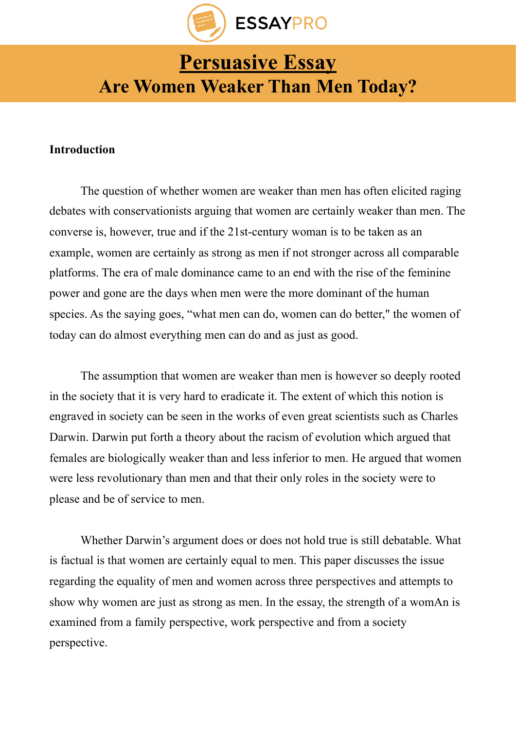

# **[Persuasive Essay](https://essaypro.com/blog/persuasive-essay/) Are Women Weaker Than Men Today?**

# **Introduction**

The question of whether women are weaker than men has often elicited raging debates with conservationists arguing that women are certainly weaker than men. The converse is, however, true and if the 21st-century woman is to be taken as an example, women are certainly as strong as men if not stronger across all comparable platforms. The era of male dominance came to an end with the rise of the feminine power and gone are the days when men were the more dominant of the human species. As the saying goes, "what men can do, women can do better," the women of today can do almost everything men can do and as just as good.

The assumption that women are weaker than men is however so deeply rooted in the society that it is very hard to eradicate it. The extent of which this notion is engraved in society can be seen in the works of even great scientists such as Charles Darwin. Darwin put forth a theory about the racism of evolution which argued that females are biologically weaker than and less inferior to men. He argued that women were less revolutionary than men and that their only roles in the society were to please and be of service to men.

Whether Darwin's argument does or does not hold true is still debatable. What is factual is that women are certainly equal to men. This paper discusses the issue regarding the equality of men and women across three perspectives and attempts to show why women are just as strong as men. In the essay, the strength of a womAn is examined from a family perspective, work perspective and from a society perspective.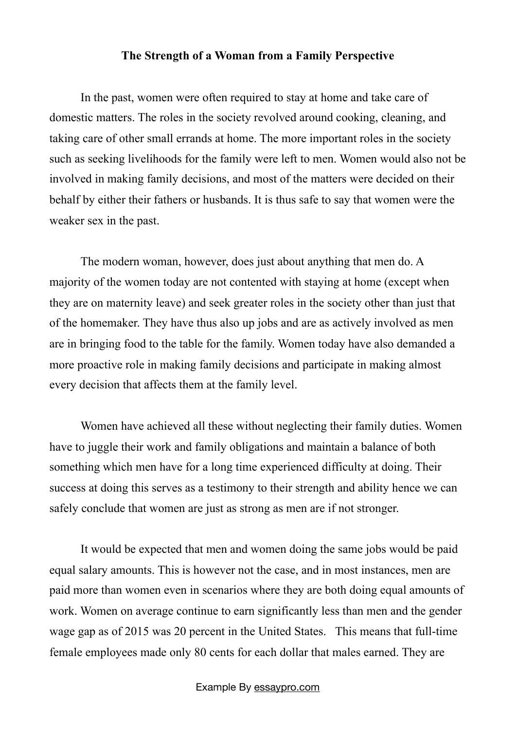### **The Strength of a Woman from a Family Perspective**

In the past, women were often required to stay at home and take care of domestic matters. The roles in the society revolved around cooking, cleaning, and taking care of other small errands at home. The more important roles in the society such as seeking livelihoods for the family were left to men. Women would also not be involved in making family decisions, and most of the matters were decided on their behalf by either their fathers or husbands. It is thus safe to say that women were the weaker sex in the past.

The modern woman, however, does just about anything that men do. A majority of the women today are not contented with staying at home (except when they are on maternity leave) and seek greater roles in the society other than just that of the homemaker. They have thus also up jobs and are as actively involved as men are in bringing food to the table for the family. Women today have also demanded a more proactive role in making family decisions and participate in making almost every decision that affects them at the family level.

Women have achieved all these without neglecting their family duties. Women have to juggle their work and family obligations and maintain a balance of both something which men have for a long time experienced difficulty at doing. Their success at doing this serves as a testimony to their strength and ability hence we can safely conclude that women are just as strong as men are if not stronger.

It would be expected that men and women doing the same jobs would be paid equal salary amounts. This is however not the case, and in most instances, men are paid more than women even in scenarios where they are both doing equal amounts of work. Women on average continue to earn significantly less than men and the gender wage gap as of 2015 was 20 percent in the United States. This means that full-time female employees made only 80 cents for each dollar that males earned. They are

#### Example By [essaypro.com](https://essaypro.com/)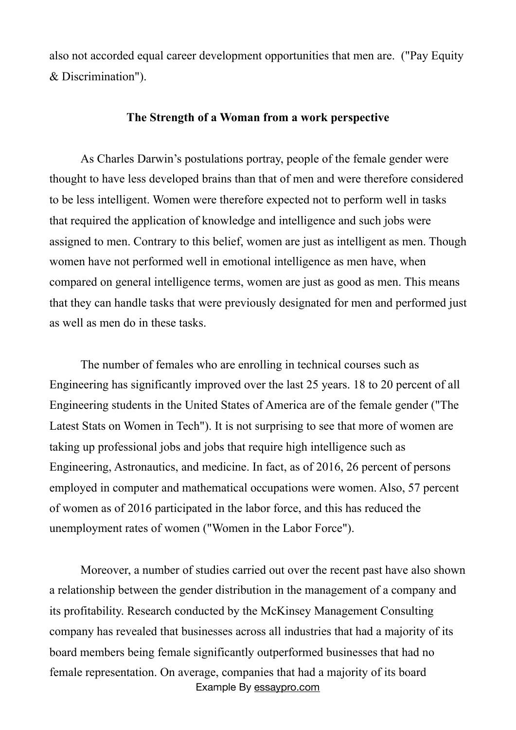also not accorded equal career development opportunities that men are. ("Pay Equity & Discrimination").

## **The Strength of a Woman from a work perspective**

As Charles Darwin's postulations portray, people of the female gender were thought to have less developed brains than that of men and were therefore considered to be less intelligent. Women were therefore expected not to perform well in tasks that required the application of knowledge and intelligence and such jobs were assigned to men. Contrary to this belief, women are just as intelligent as men. Though women have not performed well in emotional intelligence as men have, when compared on general intelligence terms, women are just as good as men. This means that they can handle tasks that were previously designated for men and performed just as well as men do in these tasks.

The number of females who are enrolling in technical courses such as Engineering has significantly improved over the last 25 years. 18 to 20 percent of all Engineering students in the United States of America are of the female gender ("The Latest Stats on Women in Tech"). It is not surprising to see that more of women are taking up professional jobs and jobs that require high intelligence such as Engineering, Astronautics, and medicine. In fact, as of 2016, 26 percent of persons employed in computer and mathematical occupations were women. Also, 57 percent of women as of 2016 participated in the labor force, and this has reduced the unemployment rates of women ("Women in the Labor Force").

Moreover, a number of studies carried out over the recent past have also shown a relationship between the gender distribution in the management of a company and its profitability. Research conducted by the McKinsey Management Consulting company has revealed that businesses across all industries that had a majority of its board members being female significantly outperformed businesses that had no female representation. On average, companies that had a majority of its board Example By [essaypro.com](https://essaypro.com/)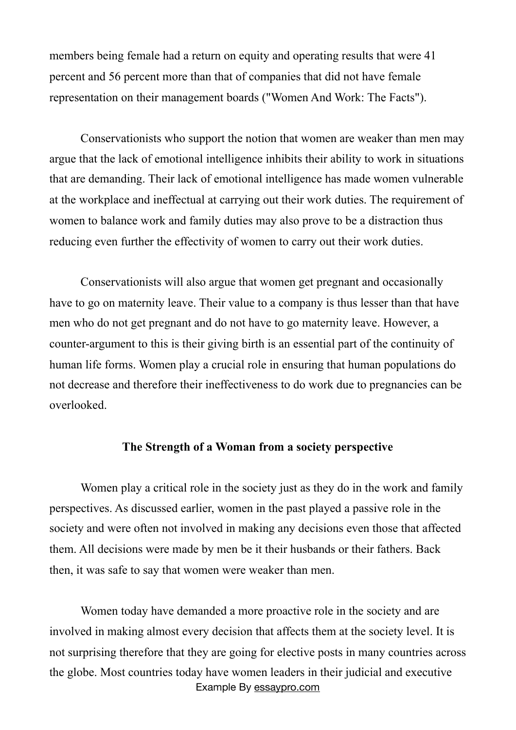members being female had a return on equity and operating results that were 41 percent and 56 percent more than that of companies that did not have female representation on their management boards ("Women And Work: The Facts").

Conservationists who support the notion that women are weaker than men may argue that the lack of emotional intelligence inhibits their ability to work in situations that are demanding. Their lack of emotional intelligence has made women vulnerable at the workplace and ineffectual at carrying out their work duties. The requirement of women to balance work and family duties may also prove to be a distraction thus reducing even further the effectivity of women to carry out their work duties.

Conservationists will also argue that women get pregnant and occasionally have to go on maternity leave. Their value to a company is thus lesser than that have men who do not get pregnant and do not have to go maternity leave. However, a counter-argument to this is their giving birth is an essential part of the continuity of human life forms. Women play a crucial role in ensuring that human populations do not decrease and therefore their ineffectiveness to do work due to pregnancies can be overlooked.

## **The Strength of a Woman from a society perspective**

Women play a critical role in the society just as they do in the work and family perspectives. As discussed earlier, women in the past played a passive role in the society and were often not involved in making any decisions even those that affected them. All decisions were made by men be it their husbands or their fathers. Back then, it was safe to say that women were weaker than men.

Women today have demanded a more proactive role in the society and are involved in making almost every decision that affects them at the society level. It is not surprising therefore that they are going for elective posts in many countries across the globe. Most countries today have women leaders in their judicial and executive Example By [essaypro.com](https://essaypro.com/)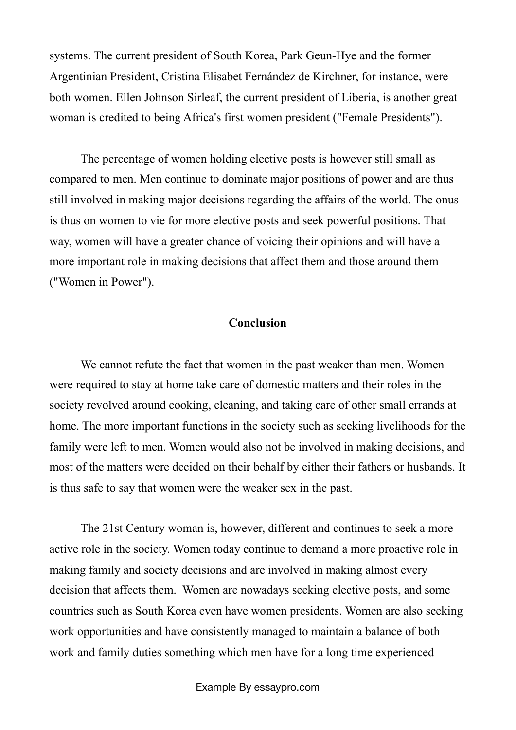systems. The current president of South Korea, Park Geun-Hye and the former Argentinian President, Cristina Elisabet Fernández de Kirchner, for instance, were both women. Ellen Johnson Sirleaf, the current president of Liberia, is another great woman is credited to being Africa's first women president ("Female Presidents").

The percentage of women holding elective posts is however still small as compared to men. Men continue to dominate major positions of power and are thus still involved in making major decisions regarding the affairs of the world. The onus is thus on women to vie for more elective posts and seek powerful positions. That way, women will have a greater chance of voicing their opinions and will have a more important role in making decisions that affect them and those around them ("Women in Power").

## **Conclusion**

We cannot refute the fact that women in the past weaker than men. Women were required to stay at home take care of domestic matters and their roles in the society revolved around cooking, cleaning, and taking care of other small errands at home. The more important functions in the society such as seeking livelihoods for the family were left to men. Women would also not be involved in making decisions, and most of the matters were decided on their behalf by either their fathers or husbands. It is thus safe to say that women were the weaker sex in the past.

 The 21st Century woman is, however, different and continues to seek a more active role in the society. Women today continue to demand a more proactive role in making family and society decisions and are involved in making almost every decision that affects them. Women are nowadays seeking elective posts, and some countries such as South Korea even have women presidents. Women are also seeking work opportunities and have consistently managed to maintain a balance of both work and family duties something which men have for a long time experienced